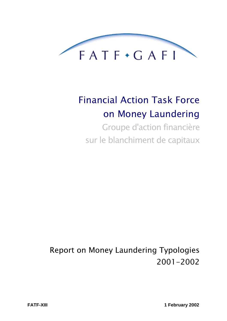

# **Financial Action Task Force** on Money Laundering

Groupe d'action financière sur le blanchiment de capitaux

**Report on Money Laundering Typologies** 2001-2002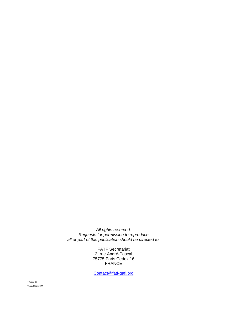All rights reserved. Requests for permission to reproduce all or part of this publication should be directed to:

> FATF Secretariat 2, rue André-Pascal 75775 Paris Cedex 16 FRANCE

Contact@fatf-gafi.org

TY2002\_en 01.02.2002/12h00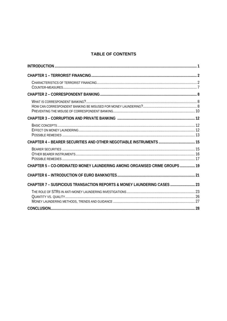# **TABLE OF CONTENTS**

| CHAPTER 5 - CO-ORDINATED MONEY LAUNDERING AMONG ORGANISED CRIME GROUPS 19 |  |
|---------------------------------------------------------------------------|--|
|                                                                           |  |
| CHAPTER 7 - SUSPICIOUS TRANSACTION REPORTS & MONEY LAUNDERING CASES  23   |  |
|                                                                           |  |
|                                                                           |  |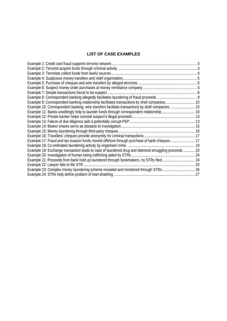# **LIST OF CASE EXAMPLES**

| Example 9: Correspondent banking relationship facilitates transactions by shell companies 10        |  |
|-----------------------------------------------------------------------------------------------------|--|
| Example 10: Correspondent banking, wire transfers facilitate transactions by shell companies  10    |  |
|                                                                                                     |  |
|                                                                                                     |  |
|                                                                                                     |  |
|                                                                                                     |  |
|                                                                                                     |  |
|                                                                                                     |  |
| Example 17: Fraud and tax evasion funds moved offshore through purchase of bank cheques 17          |  |
|                                                                                                     |  |
| Example 19: Exchange transaction leads to case of laundered drug and diamond smuggling proceeds  23 |  |
|                                                                                                     |  |
| Example 21: Proceeds from bank hold up laundered through bookmakers, no STRs filed 24               |  |
|                                                                                                     |  |
| Example 23: Complex money laundering scheme revealed and monitored through STRs 26                  |  |
|                                                                                                     |  |
|                                                                                                     |  |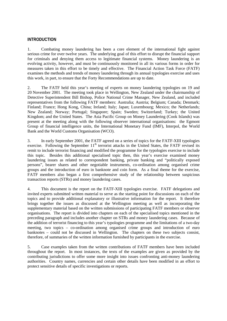#### **INTRODUCTION**

1. Combating money laundering has been a core element of the international fight against serious crime for over twelve years. The underlying goal of this effort to disrupt the financial support for criminals and denying them access to legitimate financial systems. Money laundering is an evolving activity, however, and must be continuously monitored in all its various forms in order for measures taken in this effort to be timely and effective. The Financial Action Task Force (FATF) examines the methods and trends of money laundering through its annual typologies exercise and uses this work, in part, to ensure that the Forty Recommendations are up to date.

2. The FATF held this year's meeting of experts on money laundering typologies on 19 and 20 November 2001. The meeting took place in Wellington, New Zealand under the chairmanship of Detective Superintendent Bill Bishop, Police National Crime Manager, New Zealand, and included representatives from the following FATF members: Australia; Austria; Belgium; Canada; Denmark; Finland; France; Hong Kong, China; Ireland; Italy; Japan; Luxembourg; Mexico; the Netherlands; New Zealand; Norway; Portugal; Singapore; Spain; Sweden; Switzerland; Turkey; the United Kingdom; and the United States. The Asia Pacific Group on Money Laundering (Cook Islands) was present at the meeting along with the following observer international organisations: the Egmont Group of financial intelligence units, the International Monetary Fund (IMF), Interpol, the World Bank and the World Customs Organisation (WCO).

3. In early September 2001, the FATF agreed on a series of topics for the FATF-XIII typologies exercise. Following the September 11<sup>th</sup> terrorist attacks in the United States, the FATF revised its remit to include terrorist financing and modified the programme for the typologies exercise to include this topic. Besides this additional specialised topic then, this year's exercise examined money laundering issues as related to correspondent banking, private banking and "politically exposed persons", bearer shares and other negotiable instruments, co-ordination among organised crime groups and the introduction of euro in banknote and coin form. As a final theme for the exercise, FATF members also began a first comprehensive study of the relationship between suspicious transaction reports (STRs) and money laundering cases.

4. This document is the report on the FATF-XIII typologies exercise. FATF delegations and invited experts submitted written material to serve as the starting point for discussions on each of the topics and to provide additional explanatory or illustrative information for the report. It therefore brings together the issues as discussed at the Wellington meeting as well as incorporating the supplementary material based on the written submissions of participating FATF members or observer organisations. The report is divided into chapters on each of the specialised topics mentioned in the preceding paragraph and includes another chapter on STRs and money laundering cases. Because of the addition of terrorist financing to this year's typologies programme and the limitations of a two-day meeting, two topics – co-ordination among organised crime groups and introduction of euro banknotes – could not be discussed in Wellington. The chapters on these two subjects consist, therefore, of summaries of the written information furnished by participants in the exercise.

5. Case examples taken from the written contributions of FATF members have been included throughout the report. In most instances, the texts of the examples are given as provided by the contributing jurisdictions to offer some more insight into issues confronting anti-money laundering authorities. Country names, currencies and certain other details have been modified in an effort to protect sensitive details of specific investigations or reports.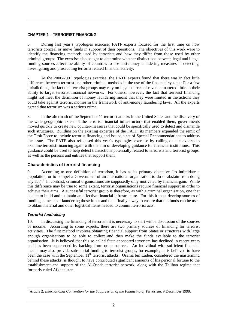# **CHAPTER 1 – TERRORIST FINANCING**

6. During last year's typologies exercise, FATF experts focused for the first time on how terrorists conceal or move funds in support of their operations. The objectives of this work were to identify the financing methods used by terrorists and how they differ from those used by other criminal groups. The exercise also sought to determine whether distinctions between legal and illegal funding sources affect the ability of countries to use anti-money laundering measures in detecting, investigating and prosecuting terrorist related financial activity.

7. At the 2000-2001 typologies exercise, the FATF experts found that there was in fact little difference between terrorist and other criminal methods in the use of the financial system. For a few jurisdictions, the fact that terrorist groups may rely on legal sources of revenue mattered little in their ability to target terrorist financial networks. For others, however, the fact that terrorist financing might not meet the definition of money laundering meant that they were limited in the actions they could take against terrorist monies in the framework of anti-money laundering laws. All the experts agreed that terrorism was a serious crime.

8. In the aftermath of the September 11 terrorist attacks in the United States and the discovery of the wide geographic extent of the terrorist financial infrastructure that enabled them, governments moved quickly to create new counter-measures that could be specifically used to detect and dismantle such structures. Building on the existing expertise of the FATF, its members expanded the remit of the Task Force to include terrorist financing and issued a set of Special Recommendations to address the issue. The FATF also refocused this year's typologies exercise by calling on the experts to examine terrorist financing again with the aim of developing guidance for financial institutions. This guidance could be used to help detect transactions potentially related to terrorists and terrorist groups, as well as the persons and entities that support them.

# **Characteristics of terrorist financing**

9. According to one definition of terrorism, it has as its primary objective "to intimidate a population, or to compel a Government of an international organisation to do or abstain from doing any act".<sup>1</sup> In contrast, criminal organisations are supposedly only motivated by financial gain. While this difference may be true to some extent, terrorist organisations require financial support in order to achieve their aims. A successful terrorist group is therefore, as with a criminal organisation, one that is able to build and maintain an effective financial infrastructure. For this it must develop sources of funding, a means of laundering those funds and then finally a way to ensure that the funds can be used to obtain material and other logistical items needed to commit terrorist acts.

## **Terrorist fundraising**

10. In discussing the financing of terrorism it is necessary to start with a discussion of the sources of income. According to some experts, there are two primary sources of financing for terrorist activities. The first method involves obtaining financial support from States or structures with large enough organisations to be able to collect and then make the funds available to the terrorist organisation. It is believed that this so-called State-sponsored terrorism has declined in recent years and has been superseded by backing from other sources. An individual with sufficient financial means may also provide substantial funding to terrorist groups, for example, as is believed to have been the case with the September 11<sup>th</sup> terrorist attacks. Osama bin Laden, considered the mastermind behind these attacks, is thought to have contributed significant amounts of his personal fortune to the establishment and support of the Al-Qaeda terrorist network, along with the Taliban regime that formerly ruled Afghanistan.

 $\overline{a}$ <sup>1</sup> Article 2, *International Convention for the Suppression of the Financing of Terrorism*, 9 December 1999.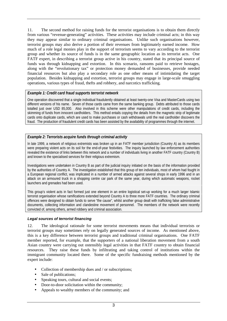11. The second method for raising funds for the terrorist organisations is to obtain them directly from various "revenue-generating" activities. These activities may include criminal acts; in this way they may appear similar to ordinary criminal organisations. Unlike such organisations however, terrorist groups may also derive a portion of their revenues from legitimately earned income. How much of a role legal monies play in the support of terrorism seems to vary according to the terrorist group and whether its source of funds is in the same geographic location as its terrorist acts. One FATF expert, in describing a terrorist group active in his country, stated that its principal source of funds was through kidnapping and extortion. In this scenario, ransoms paid to retrieve hostages, along with the "revolutionary tax" or protection money demanded of businesses, provide needed financial resources but also play a secondary role as one other means of intimidating the target population. Besides kidnapping and extortion, terrorist groups may engage in large-scale smuggling operations, various types of fraud, thefts and robbery, and narcotics trafficking.

#### *Example 1: Credit card fraud supports terrorist network*

One operation discovered that a single individual fraudulently obtained at least twenty-one Visa and MasterCards using two different versions of his name. Seven of those cards came from the same banking group. Debts attributed to those cards totalled just over USD 85,000. Also involved in this scheme were other manipulations of credit cards, including the skimming of funds from innocent cardholders. This method entails copying the details from the magnetic strip of legitimate cards onto duplicate cards, which are used to make purchases or cash withdrawals until the real cardholder discovers the fraud. The production of fraudulent credit cards has been assisted by the availability of programmes through the internet.

#### *Example 2: Terrorists acquire funds through criminal activity*

In late 1999, a network of religious extremists was broken up in an FATF member jurisdiction (Country A) as its members were preparing violent acts on its soil for the end-of-year festivities. The inquiry launched by law enforcement authorities revealed the existence of links between this network and a number of individuals living in another FATF country (Country B) and known to the specialised services for their religious extremism.

Investigations were undertaken in Country B as part of the judicial inquiry initiated on the basis of the information provided by the authorities of Country A. The investigation established that this group of ten individuals, most of whom had fought in a European regional conflict, was implicated in a number of armed attacks against several shops in early 1996 and in an attack on an armoured truck in a shopping centre car park of the same year, during which automatic weapons, rocket launchers and grenades had been used.

This group's violent acts in fact formed just one element in an entire logistical set-up working for a much larger Islamic terrorist organisation whose ramifications extended beyond Country A to three more FATF countries. The ordinary criminal offences were designed to obtain funds to serve "the cause", whilst another group dealt with trafficking false administrative documents, collecting information and clandestine movement of personnel. The members of the network were recently convicted of, among others, armed robbery and criminal association.

#### **Legal sources of terrorist financing**

12. The ideological rationale for some terrorist movements means that individual terrorists or terrorist groups may sometimes rely on legally generated sources of income. As mentioned above, this is a key difference between terrorist groups and traditional criminal organisations. One FATF member reported, for example, that the supporters of a national liberation movement from a south Asian country were carrying out ostensibly legal activities in that FATF country to obtain financial resources. They raise these funds by infiltrating and taking control of institutions within the immigrant community located there. Some of the specific fundraising methods mentioned by the expert include:

- Collection of membership dues and / or subscriptions:
- Sale of publications:
- Speaking tours, cultural and social events;
- Door-to-door solicitation within the community;
- Appeals to wealthy members of the community; and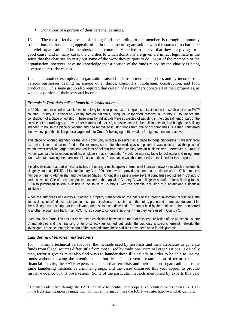• Donations of a portion of their personal earnings.

13. The most effective means of raising funds, according to this member, is through community solicitation and fundraising appeals, often in the name of organisations with the status of a charitable or relief organisation. The members of the community are led to believe that they are giving for a good cause, and in many cases the charities to which donations are given are in fact legitimate in the sense that the charities do carry out some of the work they purport to do. Most of the members of the organisation, however, have no knowledge that a portion of the funds raised by the charity is being diverted to terrorist causes.

14. In another example, an organisation raised funds from membership fees and by income from various businesses dealing in, among other things, computers, publishing, construction, and food production. This same group also required that certain of its members donate all of their properties, as well as a portion of their personal income.

## *Example 3: Terrorists collect funds from lawful sources*

In 1996, a number of individuals known to belong to the religious extremist groups established in the south-east of an FATF country (Country C) convinced wealthy foreign nationals, living for unspecified reasons in Country C, to finance the construction of a place of worship. These wealthy individuals were suspected of assisting in the concealment of part of the activities of a terrorist group. It was later established that "S", a businessman in the building sector, had bought the building intended to house the place of worship and had renovated it using funds from one of his companies. He then transferred the ownership of this building, for a large profit, to Group Y belonging to the wealthy foreigners mentioned above.

This place of worship intended for the local community in fact also served as a place to lodge clandestine "travellers" from extremist circles and collect funds. For example, soon after the work was completed, it was noticed that the place of worship was receiving large donations (millions of dollars) from other wealthy foreign businessmen. Moreover, a Group Y worker was said to have convinced his employers that a "foundation" would be more suitable for collecting and using large funds without attracting the attention of local authorities. A foundation was thus reportedly established for this purpose.

It is also believed that part of "S's" activities in heading a multipurpose international financial network (for which investments allegedly stood at USD 53 million for Country C in 1999 alone) was to provide support to a terrorist network. "S" had made a number of trips to Afghanistan and the United States. Amongst his assets were several companies registered in Country C and elsewhere. One of these companies, located in the capital of Country C, was allegedly a platform for collecting funds. "S" also purchased several buildings in the south of Country C with the potential collusion of a notary and a financial institution.

When the authorities of Country C blocked a property transaction on the basis of the foreign investment regulations, the financial institution's director stepped in to support his client's transaction and the notary presented a purchase document for the building thus ensuring that the relevant authorisation was delivered. The funds held by the bank were then transferred to another account in a bank in an NCCT jurisdiction<sup>2</sup> to conceal their origin when they were used in Country C.

Even though a formal link has not as yet been established between the more or less legal activities of the parties in Country C and abroad and the financing of terrorist activities carried out under the authority a specific terrorist network, the investigators suspect that at least part of the proceeds from these activities have been used for this purpose.

## **Laundering of terrorist related funds**

15. From a technical perspective, the methods used by terrorists and their associates to generate funds from illegal sources differ little from those used by traditional criminal organisations. Logically then, terrorist groups must also find ways to launder these illicit funds in order to be able to use the funds without drawing the attention of authorities. In last year's examination of terrorist related financial activity, the FATF experts concluded that terrorists and their support organisations use the same laundering methods as criminal groups, and the cases discussed this year appear to provide further evidence of this observation. Some of the particular methods mentioned by experts this year

<sup>&</sup>lt;sup>2</sup> Countries identified through the FATF initiative to identify non-cooperative countries or territories (NCCTs) in the fight against money laundering. For more information, see the FATF website: http://www.fatf-gafi.org.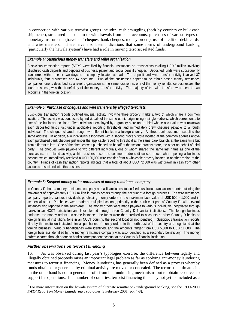in connection with various terrorist groups include: cash smuggling (both by couriers or bulk cash shipments), structured deposits to or withdrawals from bank accounts, purchases of various types of monetary instruments (travellers' cheques, bank cheques, money orders), use of credit or debit cards, and wire transfers. There have also been indications that some forms of underground banking (particularly the hawala system<sup>3</sup>) have had a role in moving terrorist related funds.

#### *Example 4: Suspicious money transfers and relief organisation*

Suspicious transaction reports (STRs) were filed by financial institutions on transactions totalling USD 9 million involving structured cash deposits and deposits of business, payroll and social benefit cheques. Deposited funds were subsequently transferred within one or two days to a company located abroad. The deposit and wire transfer activity involved 37 individuals, four businesses and 44 accounts. Two of the businesses appear to be ethnic based money remittance companies; one is described as a relief organisation at the same location as one of the money remittance businesses; the fourth business, was the beneficiary of the money transfer activity. The majority of the wire transfers were sent to two accounts in the foreign location.

#### *Example 5: Purchase of cheques and wire transfers by alleged terrorists*

Suspicious transaction reports outlined unusual activity involving three grocery markets, two of which share a common location. The activity was conducted by individuals of the same ethnic origin using a single address, which corresponds to one of the business locations. Two individuals employed by a grocery store and a third whose occupation was unknown each deposited funds just under applicable reporting thresholds and immediately drew cheques payable to a fourth individual. The cheques cleared through two different banks in a foreign country. All three bank customers supplied the same address. In addition, two individuals associated with a second grocery store located at the common address above each purchased bank cheques just under the applicable reporting threshold at the same bank branch, at the same time but from different tellers. One of the cheques was purchased on behalf of the second grocery store, the other on behalf of third party. The cheques were payable to two different individuals, one of whom shared the same last name as one of the purchasers. In related activity, a third business used the common address discussed above when opening a business account which immediately received a USD 20,000 wire transfer from a wholesale grocery located in another region of the country. Filings of cash transaction reports indicate that a total of about USD 72,000 was withdrawn in cash from other accounts associated with this business.

#### *Example 6: Suspect money order purchases at money remittance company*

In Country D, both a money remittance company and a financial institution filed suspicious transaction reports outlining the movement of approximately USD 7 million in money orders through the account of a foreign business. The wire remittance company reported various individuals purchasing money orders at the maximum face value of USD 500 - 1,000 and in sequential order. Purchases were made at multiple locations, primarily in the north-east part of Country D, with several instances also reported in the south-east. The money orders were made payable to various individuals, negotiated through banks in an NCCT jurisdiction and later cleared through three Country D financial institutions. The foreign business endorsed the money orders. In some instances, the funds were then credited to accounts at other Country D banks or foreign financial institutions (one in an NCCT country, the second location not identified). Suspicious transaction reports filed by the institution indicated similar purchases of money orders in the north-east of the country and negotiated at the foreign business. Various beneficiaries were identified, and the amounts ranged from USD 5,000 to USD 11,000. The foreign business identified by the money remittance company was also identified as a secondary beneficiary. The money orders cleared through a foreign bank's correspondent account at the Country D financial institution.

#### **Further observations on terrorist financing**

 $\overline{a}$ 

16. As was observed during last year's typologies exercise, the difference between legally and illegally obtained proceeds raises an important legal problem as far as applying anti-money laundering measures to terrorist financing. Money laundering has generally been defined as a process whereby funds obtained or generated by criminal activity are moved or concealed. The terrorist's ultimate aim on the other hand is not to generate profit from his fundraising mechanisms but to obtain resources to support his operations. In a number of countries, terrorist financing thus may not yet be included as a

 $3$  For more information on the hawala system of alternate remittance / underground banking, see the 1999-2000 *FATF Report on Money Laundering Typologies*, 3 February 2001 (pp. 4-8).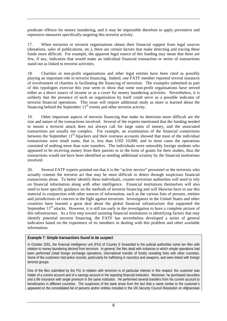predicate offence for money laundering, and it may be impossible therefore to apply preventive and repressive measures specifically targeting this terrorist activity.

17. When terrorists or terrorist organisations obtain their financial support from legal sources (donations, sales of publications, etc.), there are certain factors that make detecting and tracing these funds more difficult. For example, the apparent legal source of this funding may mean that there are few, if any, indicators that would make an individual financial transaction or series of transactions stand out as linked to terrorist activities.

18. Charities or non-profit organisations and other legal entities have been cited as possibly playing an important role in terrorist financing. Indeed, one FATF member reported several instances of involvement of charities in facilitating the financing of terrorism. The examples submitted as part of this typologies exercise this year seem to show that some non-profit organisations have served either as a direct source of income or as a cover for money laundering activities. Nevertheless, it is unlikely that the presence of such an organisation by itself could serve as a possible indicator of terrorist financial operations. This issue will require additional study as more is learned about the financing behind the September  $11<sup>th</sup>$  events and other terrorist activity.

19. Other important aspects of terrorist financing that make its detection more difficult are the size and nature of the transactions involved. Several of the experts mentioned that the funding needed to mount a terrorist attack does not always call for large sums of money, and the associated transactions are usually not complex. For example, an examination of the financial connections between the September  $11<sup>th</sup>$  hijackers and their overseas accounts showed that most of the individual transactions were small sums, that is, less than USD 10,000, and in most cases the operations consisted of nothing more than wire transfers. The individuals were ostensibly foreign students who appeared to be receiving money from their parents or in the form of grants for their studies, thus the transactions would not have been identified as needing additional scrutiny by the financial institutions involved.

20. Several FATF experts pointed out that it is the "active service" personnel or the terrorists who actually commit the terrorist act that may be most difficult to detect through suspicious financial transactions alone. To better identify these individuals, counter-terrorism authorities will need to rely on financial information along with other intelligence. Financial institutions themselves will also need to have specific guidance on the methods of terrorist financing and will likewise have to use this material in conjunction with other sources of information, such as the various lists of persons, entities and jurisdictions of concern in the fight against terrorism. Investigators in the United States and other countries have learned a great deal about the global financial infrastructure that supported the September  $11<sup>th</sup>$  attacks. However, it is still too early in the investigation to have a complete picture of this infrastructure. As a first step toward assisting financial institutions in identifying factors that may identify potential terrorist financing, the FATF has nevertheless developed a series of general indicators based on the experience of its members in dealing with this problem and other available information.

## *Example 7: Simple transactions found to be suspect*

In October 2001, the financial intelligence unit (FIU) of Country E forwarded to the judicial authorities some ten files with relation to money laundering derived from terrorism. In general, the files dealt with instances in which simple operations had been performed (retail foreign exchange operations, international transfer of funds) revealing links with other countries. Some of the customers had police records, particularly for trafficking in narcotics and weapons, and were linked with foreign terrorist groups.

One of the files submitted by the FIU in relation with terrorism is of particular interest in this respect: the customer was holder of a current account and of a savings account in the reporting financial institution. Moreover, he purchased securities and a life insurance with single premium in the same institution. He performed several transfers from his current account to beneficiaries in different countries. The suspicions of the bank arose from the fact that a name similar to the customer's appeared on the consolidated list of persons and/or entities included in the UN Security Council Resolution on Afghanistan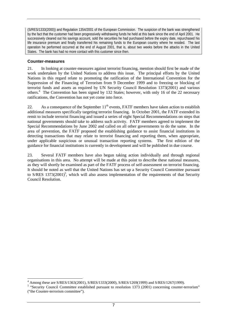(S/RES/1333(2000)) and Regulation 1354/2001 of the European Commission. The suspicion of the bank was strengthened by the fact that the customer had been progressively withdrawing funds he held at this bank since the end of April 2001. He successively cleared out his savings account, sold the securities he had purchased before the expiry date, repurchased his life insurance premium and finally transferred his remaining funds to the European country where he resided. The last operation he performed occurred at the end of August 2001, that is, about two weeks before the attacks in the United States. The bank has had no more contact with this customer since then.

#### **Counter-measures**

21. In looking at counter-measures against terrorist financing, mention should first be made of the work undertaken by the United Nations to address this issue. The principal efforts by the United Nations in this regard relate to promoting the ratification of the International Convention for the Suppression of the Financing of Terrorism from 9 December 1999 and to freezing or blocking of terrorist funds and assets as required by UN Security Council Resolution 1373(2001) and various others.<sup>4</sup> The Convention has been signed by 132 States; however, with only 16 of the 22 necessary ratifications, the Convention has not yet come into force.

22. As a consequence of the September  $11<sup>th</sup>$  events, FATF members have taken action to establish additional measures specifically targeting terrorist financing. In October 2001, the FATF extended its remit to include terrorist financing and issued a series of eight Special Recommendations on steps that national governments should take to address such activity. FATF members agreed to implement the Special Recommendations by June 2002 and called on all other governments to do the same. In the area of prevention, the FATF proposed the establishing guidance to assist financial institutions in detecting transactions that may relate to terrorist financing and reporting them, when appropriate, under applicable suspicious or unusual transaction reporting systems. The first edition of the guidance for financial institutions is currently in development and will be published in due course.

23. Several FATF members have also begun taking action individually and through regional organisations in this area. No attempt will be made at this point to describe these national measures, as they will shortly be examined as part of the FATF process of self-assessment on terrorist financing. It should be noted as well that the United Nations has set up a Security Council Committee pursuant to S/RES 1373(2001)<sup>5</sup>, which will also assess implementation of the requirements of that Security Council Resolution.

 4 Among these are S/RES/1363(2001), S/RES/1333(2000), S/RES/1269(1999) and S/RES/1267(1999).

<sup>&</sup>lt;sup>5</sup> "Security Council Committee established pursuant to resolution 1373 (2001) concerning counter-terrorism" ("the Counter-terrorism committee").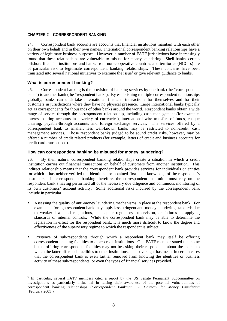# **CHAPTER 2 – CORRESPONDENT BANKING**

24. Correspondent bank accounts are accounts that financial institutions maintain with each other on their own behalf and in their own names. International correspondent banking relationships have a variety of legitimate business purposes. However, a number of FATF jurisdictions have increasingly found that these relationships are vulnerable to misuse for money laundering. Shell banks, certain offshore financial institutions and banks from non-cooperative countries and territories (NCCTs) are of particular risk to legitimate correspondent banking relationships. These concerns have been translated into several national initiatives to examine the issue<sup>6</sup> or give relevant guidance to banks.

## **What is correspondent banking?**

25. Correspondent banking is the provision of banking services by one bank (the "correspondent bank") to another bank (the "respondent bank"). By establishing multiple correspondent relationships globally, banks can undertake international financial transactions for themselves and for their customers in jurisdictions where they have no physical presence. Large international banks typically act as correspondents for thousands of other banks around the world. Respondent banks obtain a wide range of service through the correspondent relationship, including cash management (for example, interest bearing accounts in a variety of currencies), international wire transfers of funds, cheque clearing, payable-through accounts and foreign exchange services. The services offered by a correspondent bank to smaller, less well-known banks may be restricted to non-credit, cash management services. Those respondent banks judged to be sound credit risks, however, may be offered a number of credit related products (for example, letters of credit and business accounts for credit card transactions).

## **How can correspondent banking be misused for money laundering?**

26. By their nature, correspondent banking relationships create a situation in which a credit institution carries out financial transactions on behalf of customers from another institution. This indirect relationship means that the correspondent bank provides services for individuals or entities for which it has neither verified the identities nor obtained first-hand knowledge of the respondent's customers. In correspondent banking therefore, the correspondent institution must rely on the respondent bank's having performed all of the necessary due diligence and continuous monitoring of its own customers' account activity. Some additional risks incurred by the correspondent bank include in particular:

- Assessing the quality of anti-money laundering mechanisms in place at the respondent bank. For example, a foreign respondent bank may apply less stringent anti-money laundering standards due to weaker laws and regulations, inadequate regulatory supervision, or failures in applying standards or internal controls. While the correspondent bank may be able to determine the legislation in effect for the respondent bank, it is much more difficult to know the degree and effectiveness of the supervisory regime to which the respondent is subject.
- Existence of sub-respondents through which a respondent bank may itself be offering correspondent banking facilities to other credit institutions. One FATF member stated that some banks offering correspondent facilities may not be asking their respondents about the extent to which the latter offer such facilities to other institutions. This oversight has meant in certain cases that the correspondent bank is even farther removed from knowing the identities or business activity of these sub-respondents, or even the types of financial services provided.

<sup>&</sup>lt;sup>6</sup> In particular, several FATF members cited a report by the US Senate Permanent Subcommittee on Investigations as particularly influential in raising their awareness of the potential vulnerabilities of correspondent banking relationships (*Correspondent Banking: A Gateway for Money Laundering* [February 2001]).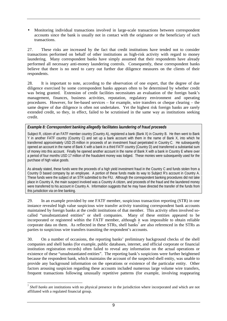• Monitoring individual transactions involved in large-scale transactions between correspondent accounts since the bank is usually not in contact with the originator or the beneficiary of such transactions.

27. These risks are increased by the fact that credit institutions have tended not to consider transactions performed on behalf of other institutions as high-risk activity with regard to money laundering. Many correspondent banks have simply assumed that their respondents have already performed all necessary anti-money laundering controls. Consequently, these correspondent banks believe that there is no need to carry out further due diligence measures on the clients of their respondents.

28. It is important to note, according to the observation of one expert, that the degree of due diligence exercised by some correspondent banks appears often to be determined by whether credit was being granted. Extension of credit facilities necessitates an evaluation of the foreign bank's management, finances, business activities, reputation, regulatory environment and operating procedures. However, for fee-based services – for example, wire transfers or cheque clearing – the same degree of due diligence is often not undertaken. Yet the highest risk foreign banks are rarely extended credit, so they, in effect, failed to be scrutinised in the same way as institutions seeking credit.

#### *Example 8: Correspondent banking allegedly facilitates laundering of fraud proceeds*

Subject R, citizen of an FATF member country (Country A), registered a bank (Bank X) in Country B. He then went to Bank Y in another FATF country (Country C) and set up a bank account with them in the name of Bank X, into which he transferred approximately USD 25 million in proceeds of an investment fraud perpetrated in Country C. He subsequently opened an account in the name of Bank X with a bank in a third FATF country (Country D) and transferred a substantial sum of money into this account. Finally he opened another account in the name of Bank X with a bank in Country E where over a period of four months USD 17 million of the fraudulent money was lodged. These monies were subsequently used for the purchase of high value goods.

As already stated, these funds were the proceeds of a high yield investment fraud in the Country C and funds stolen from a Country D based company by an employee. A portion of these funds made its way to Subject R's account in Country A. These funds were the subject of an STR submitted to the FIU. Although the correspondent banking procedures did not take place in Country A, the main suspect involved was a Country A citizen, and proceeds of the fraud and the laundered money were transferred to his account in Country A. Information suggests that he may have directed the transfer of the funds from this jurisdiction via on-line banking.

29. In an example provided by one FATF member, suspicious transaction reporting (STR) in one instance revealed high value suspicious wire transfer activity transiting correspondent bank accounts maintained by foreign banks at the credit institutions of that member. This activity often involved socalled "unsubstantiated entities" or shell companies. Many of these entities appeared to be incorporated or registered within the FATF member, although it was impossible to obtain reliable corporate data on them. As reflected in these STRs, shell banks<sup>7</sup> are also referenced in the STRs as parties to suspicious wire transfers transiting the respondent's accounts.

30. On a number of occasions, the reporting banks' preliminary background checks of the shell companies and shell banks (for example, public databases, internet, and official corporate or financial institution registration records) often failed to reveal any information on the actual operations or existence of these "unsubstantiated entities". The reporting bank's suspicions were further heightened because the respondent bank, which maintains the account of the suspected shell entity, was unable to provide any background information on the operations or existence of the particular entity. Other factors arousing suspicion regarding these accounts included numerous large volume wire transfers, frequent transactions following unusually repetitive patterns (for example, involving reappearing

 $\overline{a}$ 

<sup>7</sup> *Shell banks* are institutions with no physical presence in the jurisdiction where incorporated and which are not affiliated with a regulated financial group.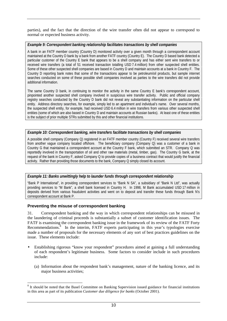parties), and the fact that the direction of the wire transfer often did not appear to correspond to normal or expected business activity.

#### *Example 9: Correspondent banking relationship facilitates transactions by shell companies*

A bank in an FATF member country (Country D) monitored activity over a given month through a correspondent account maintained at the Country D bank by a bank from another FATF country (Country E). The Country D based bank detected a particular customer of the Country E bank that appears to be a shell company and has either sent wire transfers to or received wire transfers (a total of 51 received transaction totalling USD 7.4 million) from other suspected shell entities. Some of these other suspected shell companies are based in Country D and maintain accounts at a bank in Country F. The Country D reporting bank notes that some of the transactions appear to be petroleum/oil products, but sample internet searches conducted on some of these possible shell companies involved as parties to the wire transfers did not provide additional information.

The same Country D bank, in continuing to monitor the activity in the same Country E bank's correspondent account, pinpointed another suspected shell company involved in suspicious wire transfer activity. Public and official company registry searches conducted by the Country D bank did not reveal any substantiating information on the particular shell entity. Address directory searches, for example, simply led to an apartment and individual's name. Over several months, the suspected shell entity, for example, had received USD 6.4 million in wire transfers from various other suspected shell entities (some of which are also based in Country D and maintain accounts at Russian banks). At least one of these entities is the subject of prior multiple STRs submitted by this and other financial institutions.

#### *Example 10: Correspondent banking, wire transfers facilitate transactions by shell companies*

A possible shell company (Company Q) registered in an FATF member country (Country F) received several wire transfers from another vague company located offshore. The beneficiary company (Company Q) was a customer of a bank in Country G that maintained a correspondent account at the Country F bank, which submitted an STR. Company Q was reportedly involved in the transportation of oil and other raw materials (metal, timber, gas). The Country G bank, at the request of the bank in Country F, asked Company Q to provide copies of a business contract that would justify the financial activity. Rather than providing those documents to the bank, Company Q simply closed its account.

#### *Example 11: Banks unwittingly help to launder funds through correspondent relationship*

"Bank P International", in providing correspondent services to "Bank N SA", a subsidiary of "Bank N Ltd", was actually providing services to "M Bank", a shell bank licensed in Country H. In 1998, M Bank accumulated USD 17 million in deposits derived from various fraudulent activities and went on to deposit and transfer these funds through Bank N's correspondent account at Bank P.

#### **Preventing the misuse of correspondent banking**

 $\overline{a}$ 

31. Correspondent banking and the way in which correspondent relationships can be misused in the laundering of criminal proceeds is substantially a subset of customer identification issues. The FATF is examining the correspondent banking issue in the framework of its review of the FATF Forty Recommendations.<sup>8</sup> In the interim, FATF experts participating in this year's typologies exercise made a number of proposals for the necessary elements of any sort of best practices guidelines on the issue. These elements include:

- Establishing rigorous "know your respondent" procedures aimed at gaining a full understanding of each respondent's legitimate business. Some factors to consider include in such procedures include:
	- (a) Information about the respondent bank's management, nature of the banking licence, and its major business activities;

<sup>&</sup>lt;sup>8</sup> It should be noted that the Basel Committee on Banking Supervision issued guidance for financial institutions in this area as part of its publication *Customer due diligence for banks* (October 2001).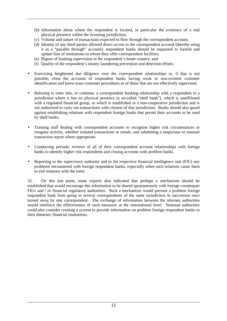- (b) Information about where the respondent is located, in particular the existence of a real physical presence within the licensing jurisdiction;
- (c) Volume and nature of transactions expected to flow through the correspondent account;
- (d) Identity of any third parties allowed direct access to the correspondent account (thereby using it as a "payable through" account); respondent banks should be requested to furnish and update lists of institutions to whom they offer correspondent facilities;
- (e) Rigour of banking supervision in the respondent's home country; and
- (f) Quality of the respondent's money laundering prevention and detection efforts.
- Exercising heightened due diligence over the correspondent relationships or, if that is not possible, close the accounts of respondent banks having weak or non-existent customer identification and know-your-customer procedures or of those that are not effectively supervised.
- Refusing to enter into, or continue, a correspondent banking relationship with a respondent in a jurisdiction where it has no physical presence (a so-called "shell bank"), which is unaffiliated with a regulated financial group, or which is established in a non-cooperative jurisdiction and is not authorised to carry out transactions with citizens of that jurisdiction. Banks should also guard against establishing relations with respondent foreign banks that permit their accounts to be used by shell banks.
- Training staff dealing with correspondent accounts to recognise higher risk circumstances or irregular activity, whether isolated transactions or trends, and submitting a suspicious or unusual transaction report where appropriate.
- Conducting periodic reviews of all of their correspondent account relationships with foreign banks to identify higher risk respondents and closing accounts with problem banks.
- Reporting to the supervisory authority and to the respective financial intelligence unit (FIU) any problems encountered with foreign respondent banks, especially when such relations cause them to end relations with the latter.

32. On this last point, some experts also indicated that perhaps a mechanism should be established that would encourage this information to be shared spontaneously with foreign counterpart FIUs and / or financial regulatory authorities. Such a mechanism would prevent a problem foreign respondent bank from going to several correspondents of the same jurisdiction in succession once turned away by one correspondent. The exchange of information between the relevant authorities would reinforce the effectiveness of such measures at the international level. National authorities could also consider creating a system to provide information on problem foreign respondent banks to their domestic financial institutions.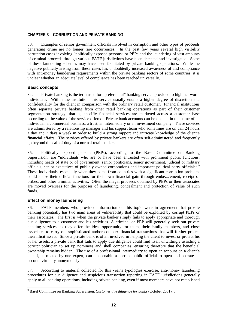# **CHAPTER 3 – CORRUPTION AND PRIVATE BANKING**

33. Examples of senior government officials involved in corruption and other types of proceeds generating crime are no longer rare occurrences. In the past few years several high visibility corruption cases involving "politically exposed persons" or PEPs and the laundering of vast amounts of criminal proceeds through various FATF jurisdictions have been detected and investigated. Some of these laundering schemes may have been facilitated by private banking operations. While the negative publicity arising from these cases has undoubtedly increased awareness of and compliance with anti-money laundering requirements within the private banking sectors of some countries, it is unclear whether an adequate level of compliance has been reached universally.

## **Basic concepts**

34. Private banking is the term used for "preferential" banking service provided to high net worth individuals. Within the institution, this service usually entails a higher degree of discretion and confidentiality for the client in comparison with the ordinary retail customer. Financial institutions often separate private banking from other retail banking operations as part of their customer segmentation strategy, that is, specific financial services are marketed across a customer base according to the value of the service offered. Private bank accounts can be opened in the name of an individual, a commercial business, a trust, an intermediary or an investment company. These services are administered by a relationship manager and his support team who sometimes are on call 24 hours a day and 7 days a week in order to build a strong rapport and intricate knowledge of the client's financial affairs. The services offered by private bankers are often self-administered and frequently go beyond the call of duty of a normal retail banker.

35. Politically exposed persons (PEPs), according to the Basel Committee on Banking Supervision, are "individuals who are or have been entrusted with prominent public functions, including heads of state or of government, senior politicians, senior government, judicial or military officials, senior executives of publicly owned corporations and important political party officials". 9 These individuals, especially when they come from countries with a significant corruption problem, could abuse their official functions for their own financial gain through embezzlement, receipt of bribes, and other criminal activities. Often the illegal proceeds obtained by PEPs or their associates are moved overseas for the purposes of laundering, concealment and protection of value of such funds.

# **Effect on money laundering**

36. FATF members who provided information on this topic were in agreement that private banking potentially has two main areas of vulnerability that could be exploited by corrupt PEPs or their associates. The first is when the private banker simply fails to apply appropriate and thorough due diligence to a customer and his activities. A criminal or PEP will generally seek out private banking services, as they offer the ideal opportunity for them, their family members, and close associates to carry out sophisticated and/or complex financial transactions that will further protect their illicit assets. Since a private bank is often involved in helping the client to invest or protect his or her assets, a private bank that fails to apply due diligence could find itself unwittingly assisting a corrupt politician to set up nominees and shell companies, ensuring therefore that the beneficial ownership remains hidden. The use of a professional intermediary to open an account on a client's behalf, as related by one expert, can also enable a corrupt public official to open and operate an account virtually anonymously.

37. According to material collected for this year's typologies exercise, anti-money laundering procedures for due diligence and suspicious transaction reporting in FATF jurisdictions generally apply to all banking operations, including private banking, even if most members have not established

 $\overline{a}$ 9 Basel Committee on Banking Supervision, *Customer due diligence for banks* (October 2001), p.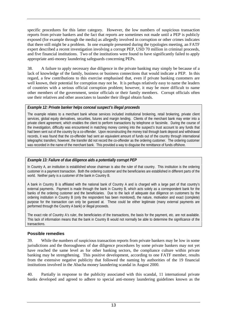specific procedures for this latter category. However, the low numbers of suspicious transaction reports from private bankers and the fact that reports are sometimes not made until a PEP is publicly exposed (for example through the media) as allegedly involved in corruption or other crimes indicates that there still might be a problem. In one example presented during the typologies meeting, an FATF expert described a recent investigation involving a corrupt PEP, USD 70 million in criminal proceeds, and five financial institutions. Two of the institutions were found to have significantly failed to apply appropriate anti-money laundering safeguards concerning PEPs.

38. A failure to apply necessary due diligence in the private banking may simply be because of a lack of knowledge of the family, business or business connections that would indicate a PEP. In this regard, a few contributions to this exercise emphasised that, even if private banking customers are well known, their potential for corruption may not be. It is perhaps relatively easy to name the leaders of countries with a serious official corruption problem; however, it may be more difficult to name other members of the government, senior officials or their family members. Corrupt officials often use their relatives and other associates to launder their illegal obtain funds.

#### *Example 12: Private banker helps conceal suspect's illegal proceeds*

The example relates to a merchant bank whose services included institutional brokering, retail brokering, private client services, global equity derivatives, securities, futures and margin lending. Clients of the merchant bank may enter into a private client agreement, which enables the client to perform transactions by telephone or facsimile. During the course of the investigation, difficulty was encountered in matching money coming into the suspect's trust account to any funds that had been sent out of the country by a co-offender. Upon reconstructing the money trail through bank deposit and withdrawal records, it was found that the co-offender had sent an equivalent amount of funds out of the country through international telegraphic transfers; however, the transfer did not record the co-offender as the ordering customer. The ordering customer was recorded in the name of the merchant bank. This provided a way to disguise the remittance of funds offshore.

#### *Example 13: Failure of due diligence aids a potentially corrupt PEP*

In Country A, an institution is established whose chairman is also the ruler of that country. This institution is the ordering customer in a payment transaction. Both the ordering customer and the beneficiaries are established in different parts of the world. Neither party is a customer of the bank in Country B.

A bank in Country B is affiliated with the national bank of Country A and is charged with a large part of that country's external payments. Payment is made through the bank in Country B, which acts solely as a correspondent bank for the banks of the ordering customer and the beneficiaries. Due to the lack of adequate due diligence on customers by the ordering institution in Country B (only the respondent has been monitored), the nature, motivation and exact (complete) purpose for the transaction can only be guessed at. These could be either legitimate (many external payments are performed through the Country A bank) or illegal proceeds.

The exact role of Country A's ruler, the beneficiaries of the transactions, the basis for the payment, etc. are not available. This lack of information means that the bank in Country B would not normally be able to determine the significance of the transactions.

## **Possible remedies**

39. While the numbers of suspicious transaction reports from private bankers may be low in some jurisdictions and the thoroughness of due diligence procedures by some private bankers may not yet have reached the same level as for other banking sectors, the compliance culture within private banking may be strengthening. This positive development, according to one FATF member, results from the extensive negative publicity that followed the naming by authorities of the 19 financial institutions involved in the Abacha money laundering scandal in August 2000.

40. Partially in response to the publicity associated with this scandal, 11 international private banks developed and agreed to adhere to special anti-money laundering guidelines known as the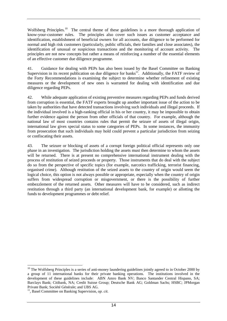Wolfsberg Principles.<sup>10</sup> The central theme of these guidelines is a more thorough application of know-your-customer rules. The principles also cover such issues as customer acceptance and identification, establishment of beneficial owners for all accounts, due diligence to be performed for normal and high risk customers (particularly, public officials, their families and close associates), the identification of unusual or suspicious transactions and the monitoring of account activity. The principles are not new concepts but rather a means of reinforcing a number of the essential elements of an effective customer due diligence programme.

41. Guidance for dealing with PEPs has also been issued by the Basel Committee on Banking Supervision in its recent publication on due diligence for banks<sup>11</sup>. Additionally, the FATF review of the Forty Recommendations is examining the subject to determine whether refinement of existing measures or the development of new ones is warranted for dealing with identification and due diligence regarding PEPs.

42. While adequate application of existing preventive measures regarding PEPs and funds derived from corruption is essential, the FATF experts brought up another important issue of the action to be taken by authorities that have detected transactions involving such individuals and illegal proceeds. If the individual involved is a high-ranking official in his or her country, it may be impossible to obtain further evidence against the person from other officials of that country. For example, although the national law of most countries contains rules that permit the seizure of assets of illegal origin, international law gives special status to some categories of PEPs. In some instances, the immunity from prosecution that such individuals may hold could prevent a particular jurisdiction from seizing or confiscating their assets.

43. The seizure or blocking of assets of a corrupt foreign political official represents only one phase in an investigation. The jurisdiction holding the assets must then determine to whom the assets will be returned. There is at present no comprehensive international instrument dealing with the process of restitution of seized proceeds or property. Those instruments that do deal with the subject do so from the perspective of specific topics (for example, narcotics trafficking, terrorist financing, organised crime). Although restitution of the seized assets to the country of origin would seem the logical choice, this option is not always possible or appropriate, especially when the country of origin suffers from widespread corruption or misgovernment, or there is the possibility of further embezzlement of the returned assets. Other measures will have to be considered, such as indirect restitution through a third party (an international development bank, for example) or allotting the funds to development programmes or debt relief.

 $\overline{a}$  $10$  The Wolfsberg Principles is a series of anti-money laundering guidelines jointly agreed to in October 2000 by a group of 11 international banks for their private banking operations. The institutions involved in the development of these guidelines include: ABN Amro Bank NV; Banco Santander Central Hispano, SA; Barclays Bank; Citibank, NA; Credit Suisse Group; Deutsche Bank AG; Goldman Sachs; HSBC; JPMorgan Private Bank; Société Générale; and UBS AG. 11, Basel Committee on Banking Supervision, *op. cit.*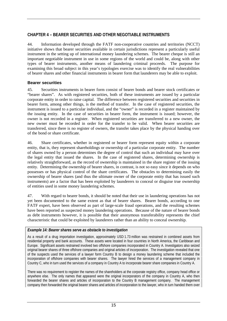# **CHAPTER 4 – BEARER SECURITIES AND OTHER NEGOTIABLE INSTRUMENTS**

44. Information developed through the FATF non-cooperative countries and territories (NCCT) initiative shows that bearer securities available in certain jurisdictions represent a particularly useful instrument in the setting up of international money laundering schemes. The bearer cheque is still an important negotiable instrument in use in some regions of the world and could be, along with other types of bearer instruments, another means of laundering criminal proceeds. The purpose for examining this broad subject in this year's typologies exercise was to identify the real vulnerabilities of bearer shares and other financial instruments in bearer form that launderers may be able to exploit.

## **Bearer securities**

45. Securities instruments in bearer form consist of bearer bonds and bearer stock certificates or "bearer shares". As with registered securities, both of these instruments are issued by a particular corporate entity in order to raise capital. The difference between registered securities and securities in bearer form, among other things, is the method of transfer. In the case of registered securities, the instrument is issued to a particular individual, and the "owner" is recorded in a register maintained by the issuing entity. In the case of securities in bearer form, the instrument is issued; however, the owner is not recorded in a register. When registered securities are transferred to a new owner, the new owner must be recorded in order for the transfer to be valid. When bearer securities are transferred, since there is no register of owners, the transfer takes place by the physical handing over of the bond or share certificate.

46. Share certificates, whether in registered or bearer form represent equity within a corporate entity, that is, they represent shareholdings or ownership of a particular corporate entity. The number of shares owned by a person determines the degree of control that such an individual may have over the legal entity that issued the shares. In the case of registered shares, determining ownership is relatively straightforward, as the record of ownership is maintained in the share register of the issuing entity. Determining the ownership of bearer shares, in contrast, is not so easy since it depends on who possesses or has physical control of the share certificates. The obstacles to determining easily the ownership of bearer shares (and thus the ultimate owner of the corporate entity that has issued such instruments) are a factor that has been exploited by launderers to conceal or disguise true ownership of entities used in some money laundering schemes.

47. With regard to bearer bonds, it should be noted that their use in laundering operations has not yet been documented to the same extent as that of bearer shares. Bearer bonds, according to one FATF expert, have been observed as part of large-scale fraud operations, and the resulting schemes have been reported as suspected money laundering operations. Because of the nature of bearer bonds as debt instruments however, it is possible that their anonymous transferability represents the chief characteristic that could be exploited by launderers rather than an ability to conceal ownership.

## *Example 14: Bearer shares serve as obstacle to investigation*

As a result of a drug importation investigation, approximately USD 1.73 million was restrained in combined assets from residential property and bank accounts. These assets were located in four countries in North America, the Caribbean and Europe. Significant assets restrained involved two offshore companies incorporated in Country A. Investigators also seized original bearer shares of three offshore companies and original articles of incorporation. The investigation revealed that one of the suspects used the services of a lawyer form Country B to design a money laundering scheme that included the incorporation of offshore companies with bearer shares. The lawyer hired the services of a management company in Country C, who in turn used the services of a company in Country A to incorporate bearer share companies in Country A.

There was no requirement to register the names of the shareholders at the corporate registry office, company head office or anywhere else. The only names that appeared were the original incorporators of the company in Country A, who then forwarded the bearer shares and articles of incorporation to the Country B management company. The management company then forwarded the original bearer shares and articles of incorporation to the lawyer, who in turn handed them over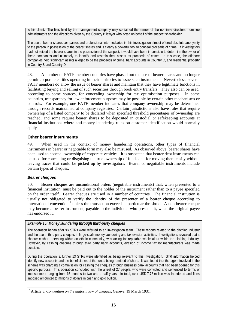to his client. The files held by the management company only contained the names of the nominee directors, nominee administrators and the directions given by the Country B lawyer who acted on behalf of the suspect shareholder.

The use of bearer shares companies and professional intermediaries in this investigation almost offered absolute anonymity to the person in possession of the bearer shares and is clearly a powerful tool to conceal proceeds of crime. If investigators had not seized the bearer shares in the possession of the suspect, it would have been impossible to determine the owner of these companies and ultimately to identify and restrain their assets as proceeds of crime. In this case, the offshore companies held significant assets alleged to be the proceeds of crime, bank accounts in Country C, and residential property in Country B and Country D.

48. A number of FATF member countries have phased out the use of bearer shares and no longer permit corporate entities operating in their territories to issue such instruments. Nevertheless, several FATF members do allow the issue of bearer shares and maintain that they have legitimate functions in facilitating buying and selling of such securities through book entry transfers. They also can be used, according to some sources, for concealing ownership for tax optimisation purposes. In some countries, transparency for law enforcement purposes may be possible by certain other mechanisms or controls. For example, one FATF member indicates that company ownership may be determined through records maintained at company registries. Certain jurisdictions also have rules that require ownership of a listed company to be declared when specified threshold percentages of ownership are reached, and some require bearer shares to be deposited in custodial or safekeeping accounts at financial institutions where anti-money laundering rules on customer identification would normally apply.

#### **Other bearer instruments**

49. When used in the context of money laundering operations, other types of financial instruments in bearer or negotiable form may also be misused. As observed above, bearer shares have been used to conceal ownership of corporate vehicles. It is suspected that bearer debt instruments can be used for concealing or disguising the true ownership of funds and for moving them easily without leaving traces that could be picked up by investigators. Bearer or negotiable instruments include certain types of cheques.

#### **Bearer cheques**

 $\overline{a}$ 

50. Bearer cheques are unconditional orders (negotiable instruments) that, when presented to a financial institution, must be paid out to the holder of the instrument rather than to a payee specified on the order itself. Bearer cheques are used in a number of countries. The financial institution is usually not obligated to verify the identity of the presenter of a bearer cheque according to international convention<sup>12</sup> unless the transaction exceeds a particular threshold. A non-bearer cheque may become a bearer instrument, payable to the individual who presents it, when the original payee has endorsed it.

## *Example 15: Money laundering through third-party cheques*

The operation began after six STRs were referred to an investigation team. These reports related to the clothing industry and the use of third party cheques in large-scale money laundering and tax evasion activities. Investigations revealed that a cheque casher, operating within an ethnic community, was acting for reputable wholesalers within the clothing industry. However, by cashing cheques through third party bank accounts, evasion of income tax by manufacturers was made possible.

During the operation, a further 13 STRs were identified as being relevant to this investigation. STR information helped identify new accounts and the beneficiaries of the funds being remitted offshore. It was found that the agent involved in the scheme was charging a commission for cashing the cheques through business bank accounts that had been opened for this specific purpose. This operation concluded with the arrest of 27 people, who were convicted and sentenced to terms of imprisonment ranging from 15 months to two and a half years. In total, over USD 7.78 million was laundered and fines imposed amounted to millions of dollars in cash and gold bullion.

<sup>12</sup> Article 5, *Convention on the uniform law of cheques*, Geneva, 19 March 1931.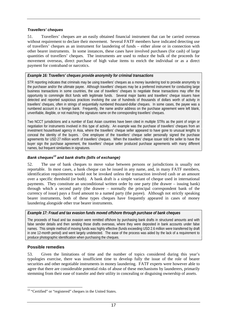#### **Travellers' cheques**

51. Travellers' cheques are an easily obtained financial instrument that can be carried overseas without requirement to declare their movement. Several FATF members have indicated detecting use of travellers' cheques as an instrument for laundering of funds – either alone or in connection with other bearer instruments. In some instances, these cases have involved purchases (for cash) of large quantities of travellers' cheques. The instruments are used to reduce the bulk of the proceeds for movement overseas, direct purchase of high value items to enrich the individual or as a direct payment for contraband or narcotics.

#### *Example 16: Travellers' cheques provide anonymity for criminal transactions*

STR reporting indicates that criminals may be using travellers' cheques as a money laundering tool to provide anonymity to the purchaser and/or the ultimate payee. Although travellers' cheques may be a preferred instrument for conducting large business transactions in some countries, the use of travellers' cheques to negotiate these transactions may offer the opportunity to commingle illicit funds with legitimate funds. Several major banks and travellers' cheque issuers have detected and reported suspicious practices involving the use of hundreds of thousands of dollars worth of activity in travellers' cheques, often in strings of sequentially numbered thousand-dollar cheques. In some cases, the payee was a numbered account in a foreign bank. Frequently, the name and/or address on the purchase agreement were left blank, unverifiable, illegible, or not matching the signature name on the corresponding travellers' cheques.

Two NCCT jurisdictions and a number of East Asian countries have been cited in multiple STRs as the point of origin or negotiation for instruments involved in this type of activity. An example was the purchase of travellers' cheques from an investment house/travel agency in Asia, where the travellers' cheque seller appeared to have gone to unusual lengths to conceal the identity of the buyers. One employee of the travellers' cheque seller personally signed the purchase agreements for USD 27 million worth of travellers' cheques. When the travellers' cheque issuer told the seller to have the buyer sign the purchase agreement, the travellers' cheque seller produced purchase agreements with many different names, but frequent similarities in signatures.

# **Bank cheques13 and bank drafts (bills of exchange)**

52. The use of bank cheques to move value between persons or jurisdictions is usually not reportable. In most cases, a bank cheque can be issued in any name, and, in many FATF members, identification requirements would not be invoked unless the transaction involved cash or an amount over a specific threshold (or both). A bank draft is a simple variant of cheque used in international payments. They constitute an unconditional written order by one party (the drawer – issuing bank) through which a second party (the drawee – normally the principal correspondent bank of the currency of issue) pays a fixed amount to a named party (the payee). Although not strictly speaking bearer instruments, both of these types cheques have frequently appeared in cases of money laundering alongside other true bearer instruments.

#### *Example 17: Fraud and tax evasion funds moved offshore through purchase of bank cheques*

The proceeds of fraud and tax evasion were remitted offshore by purchasing bank drafts in structured amounts and with false sender details and then sending those drafts overseas, where they were deposited in bank accounts under false names. This simple method of moving funds was highly effective (funds exceeding USD 2.6 million were transferred by draft in one 12-month period) and went largely undetected. The ease of the process was aided by the lack of a requirement to produce photographic identification when purchasing the cheques.

#### **Possible remedies**

53. Given the limitations of time and the number of topics considered during this year's typologies exercise, there was insufficient time to develop fully the issue of the role of bearer securities and other negotiable instruments in money laundering. FATF experts were however able to agree that there are considerable potential risks of abuse of these mechanisms by launderers, primarily stemming from their ease of transfer and their utility in concealing or disguising ownership of assets.

 $\overline{a}$  $13$  "Certified" or "registered" cheques in the United States.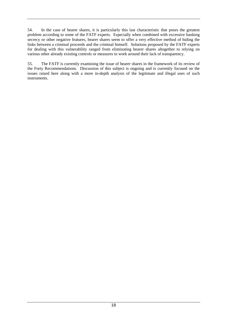54. In the case of bearer shares, it is particularly this last characteristic that poses the greatest problem according to some of the FATF experts. Especially when combined with excessive banking secrecy or other negative features, bearer shares seem to offer a very effective method of hiding the links between a criminal proceeds and the criminal himself. Solutions proposed by the FATF experts for dealing with this vulnerability ranged from eliminating bearer shares altogether to relying on various other already existing controls or measures to work around their lack of transparency.

55. The FATF is currently examining the issue of bearer shares in the framework of its review of the Forty Recommendations. Discussion of this subject is ongoing and is currently focused on the issues raised here along with a more in-depth analysis of the legitimate and illegal uses of such instruments.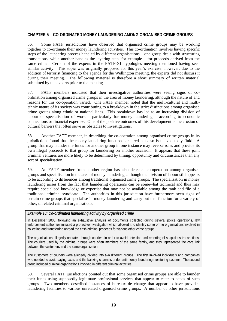# **CHAPTER 5 – CO-ORDINATED MONEY LAUNDERING AMONG ORGANISED CRIME GROUPS**

56. Some FATF jurisdictions have observed that organised crime groups may be working together to co-ordinate their money laundering activities. This co-ordination involves having specific steps of the laundering process handled by different organisations – one group deals with structuring transactions, while another handles the layering step, for example – for proceeds derived from the same crime. Certain of the experts in the FATF-XII typologies meeting mentioned having seen similar activity. This topic was originally proposed for this year's exercise; however, due to the addition of terrorist financing to the agenda for the Wellington meeting, the experts did not discuss it during their meeting. The following material is therefore a short summary of written material submitted by the experts prior to the meeting.

57. FATF members indicated that their investigative authorities were seeing signs of coordination among organised crime groups in the area of money laundering, although the nature of and reasons for this co-operation varied. One FATF member noted that the multi-cultural and multiethnic nature of its society was contributing to a breakdown in the strict distinctions among organised crime groups along ethnic or national lines. This breakdown has led to an increasing division of labour or specialisation of work – particularly for money laundering – according to economic connections or financial expertise. One of the positive outcomes of this development is the erosion of cultural barriers that often serve as obstacles to investigations.

58. Another FATF member, in describing the co-operation among organised crime groups in its jurisdiction, found that the money laundering function is shared but also is unexpectedly fluid. A group that may launder the funds for another group in one instance may reverse roles and provide its own illegal proceeds to that group for laundering on another occasion. It appears that these joint criminal ventures are more likely to be determined by timing, opportunity and circumstances than any sort of specialisation.

59. An FATF member from another region has also detected co-operation among organised groups and specialisation in the area of money laundering, although the division of labour still appears to be according to differences among traditional organised crime groups. The specialisation in money laundering arises from the fact that laundering operations can be somewhat technical and thus may require specialised knowledge or expertise that may not be available among the rank and file of a traditional criminal syndicate. The authorities in this jurisdiction have furthermore seen signs of certain crime groups that specialise in money laundering and carry out that function for a variety of other, unrelated criminal organisations.

## *Example 18: Co-ordinated laundering activity by organised crime*

In December 2000, following an exhaustive analysis of documents collected during several police operations, law enforcement authorities initiated a pro-active investigation which allowed it to identify some of the organisations involved in collecting and transferring abroad the cash criminal proceeds for various other crime groups.

The organisations allegedly operated through couriers in order to avoid detection and reporting of suspicious transactions. The couriers used by the criminal groups were often members of the same family, and they represented the core link between the customers and the same organisation.

The customers of couriers were allegedly divided into two different groups. The first involved individuals and companies who needed to avoid paying taxes and the banking channels under anti-money laundering monitoring systems. The second group included criminal organisations involved in different criminal activities.

60. Several FATF jurisdictions pointed out that some organised crime groups are able to launder their funds using supposedly legitimate professional services that appear to cater to needs of such groups. Two members described instances of bureaux de change that appear to have provided laundering facilities to various unrelated organised crime groups. A number of other jurisdictions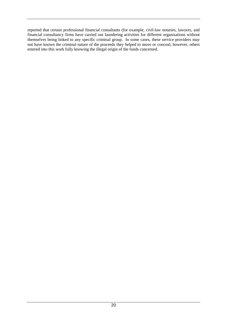reported that certain professional financial consultants (for example, civil-law notaries, lawyers, and financial consultancy firms have carried out laundering activities for different organisations without themselves being linked to any specific criminal group. In some cases, these service providers may not have known the criminal nature of the proceeds they helped to move or conceal; however, others entered into this work fully knowing the illegal origin of the funds concerned.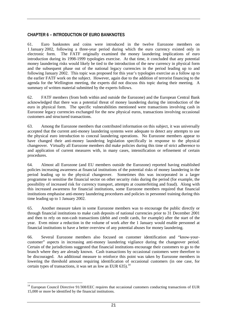## **CHAPTER 6 – INTRODUCTION OF EURO BANKNOTES**

61. Euro banknotes and coins were introduced in the twelve Eurozone members on 1 January 2002, following a three-year period during which the euro currency existed only in electronic form. The FATF originally examined the money laundering implications of euro introduction during its 1998-1999 typologies exercise. At that time, it concluded that any potential money laundering risks would likely be tied to the introduction of the new currency in physical form and the subsequent phase out of the national legacy currencies in the period leading up to and following January 2002. This topic was proposed for this year's typologies exercise as a follow up to the earlier FATF work on the subject. However, again due to the addition of terrorist financing to the agenda for the Wellington meeting, the experts did not discuss this topic during their meeting. A summary of written material submitted by the experts follows.

62. FATF members (from both within and outside the Eurozone) and the European Central Bank acknowledged that there was a potential threat of money laundering during the introduction of the euro in physical form. The specific vulnerabilities mentioned were transactions involving cash in Eurozone legacy currencies exchanged for the new physical euros, transactions involving occasional customers and structured transactions.

63. Among the Eurozone members that contributed information on this subject, it was universally accepted that the current anti-money laundering systems were adequate to detect any attempts to use the physical euro introduction to conceal laundering operations. No Eurozone members appear to have changed their anti-money laundering legislation specifically in response to the physical changeover. Virtually all Eurozone members did make policies during this time of strict adherence to and application of current measures with, in many cases, intensification or refinement of certain procedures.

64. Almost all Eurozone (and EU members outside the Eurozone) reported having established policies increasing awareness at financial institutions of the potential risks of money laundering in the period leading up to the physical changeover. Sometimes this was incorporated in a larger programme to sensitise the financial sector on other security risks during the period (for example, the possibility of increased risk for currency transport, attempts at counterfeiting and fraud). Along with this increased awareness for financial institutions, some Eurozone members required that financial institutions emphasise anti-money laundering procedures and policies in personnel training during this time leading up to 1 January 2002.

65. Another measure taken in some Eurozone members was to encourage the public directly or through financial institutions to make cash deposits of national currencies prior to 31 December 2001 and then to rely on non-cash transactions (debit and credit cards, for example) after the start of the year. Even minor a reduction in the volume of work after the 1 January would enable personnel at financial institutions to have a better overview of any potential abuses for money laundering.

66. Several Eurozone members also focused on customer identification and "know-yourcustomer" aspects in increasing anti-money laundering vigilance during the changeover period. Certain of the jurisdictions suggested that financial institutions encourage their customers to go to the branch where they are already known. Cash transactions by occasional customers were therefore to be discouraged. An additional measure to reinforce this point was taken by Eurozone members in lowering the threshold amount requiring identification of occasional customers (in one case, for certain types of transactions, it was set as low as EUR 635).<sup>14</sup>

 $\overline{a}$ 

 $14$  European Council Directive 91/308/EEC requires that occasional customers conducting transactions of EUR 15,000 or more be identified by the financial institutions.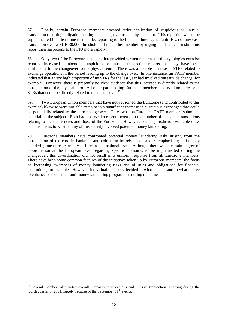67. Finally, certain Eurozone members stressed strict application of suspicious or unusual transaction reporting obligations during the changeover to the physical euro. This reporting was to be supplemented in at least one member by reporting to the financial intelligence unit (FIU) of any cash transaction over a EUR 30,000 threshold and in another member by urging that financial institutions report their suspicions to the FIU more rapidly.

68. Only two of the Eurozone members that provided written material for this typologies exercise reported increased numbers of suspicious or unusual transaction reports that may have been attributable to the changeover to the physical euro. There was a notable increase in STRs related to exchange operations in the period leading up to the change over. In one instance, an FATF member indicated that a very high proportion of its STRs for the last year had involved bureaux de change, for example. However, there is presently no clear evidence that this increase is directly related to the introduction of the physical euro. All other participating Eurozone members observed no increase in STRs that could be directly related to the changeover.<sup>15</sup>

69. Two European Union members that have not yet joined the Eurozone (and contributed to this exercise) likewise were not able to point to a significant increase in suspicious exchanges that could be potentially related to the euro changeover. Only two non-European FATF members submitted material on the subject. Both had observed a recent increase in the number of exchange transactions relating to their currencies and those of the Eurozone. However, neither jurisdiction was able draw conclusions as to whether any of this activity involved potential money laundering.

70. Eurozone members have confronted potential money laundering risks arising from the introduction of the euro in banknote and coin form by relying on and re-emphasising anti-money laundering measures currently in force at the national level. Although there was a certain degree of co-ordination at the European level regarding specific measures to be implemented during the changeover, this co-ordination did not result in a uniform response from all Eurozone members. There have been some common features of the initiatives taken up by Eurozone members: the focus on increasing awareness of money laundering risks and of rules and obligations for financial institutions, for example. However, individual members decided in what manner and to what degree to enhance or focus their anti-money laundering programmes during this time.

 $\overline{a}$ 

<sup>&</sup>lt;sup>15</sup> Several members also noted overall increases in suspicious and unusual transaction reporting during the fourth quarter of 2001, largely because of the September  $11<sup>th</sup>$  events.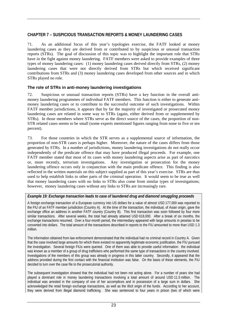# **CHAPTER 7 – SUSPICIOUS TRANSACTION REPORTS & MONEY LAUNDERING CASES**

71. As an additional focus of this year's typologies exercise, the FATF looked at money laundering cases as they are derived from or contributed to by suspicious or unusual transaction reports (STRs). The goal of discussion of this topic was to highlight the important role that STRs have in the fight against money laundering. FATF members were asked to provide examples of three types of money laundering cases: (1) money laundering cases derived directly from STRs, (2) money laundering cases that were not directly derived from STRs but which received significant contributions from STRs and (3) money laundering cases developed from other sources and in which STRs played no role.

## **The role of STRs in anti-money laundering investigations**

72. Suspicious or unusual transaction reports (STRs) have a key function in the overall antimoney laundering programmes of individual FATF members. This function is either to generate antimoney laundering cases or to contribute to the successful outcome of such investigations. Within FATF member jurisdictions, it appears that by far the majority of investigated or prosecuted money laundering cases are related in some way to STRs (again, either derived from or supplemented by STRs). In those members where STRs serve as the direct source of the cases, the proportion of non-STR related cases seems to be small (some experts mentioned figures ranging from none to five or ten percent).

73. For those countries in which the STR serves as a supplemental source of information, the proportion of non-STR cases is perhaps higher. Moreover, the nature of the cases differs from those generated by STRs. In a number of jurisdictions, money laundering investigations do not really occur independently of the predicate offence that may have produced illegal proceeds. For example, one FATF member stated that most of its cases with money laundering aspects arise as part of narcotics or, more recently, terrorism investigations. Any investigation or prosecution for the money laundering offence occurs only in conjunction with the main predicate offence. This finding is also reflected in the written materials on this subject supplied as part of this year's exercise. STRs are thus used to help establish links to other parts of the criminal operation. It would seem to be true as well that money laundering cases with no links to STRs also come from similar types of investigations; however, money laundering cases without any links to STRs are increasingly rare.

#### *Example 19: Exchange transaction leads to case of laundered drug and diamond smuggling proceeds*

A foreign exchange transaction of a European currency into US dollars for a value of almost USD 177,000 was reported to the FIU of an FATF member jurisdiction (Country A). At the time of the transaction, the individual, of Asian origin, gave the exchange office an address in another FATF country (Country B). This first transaction was soon followed by four more similar transactions. After several weeks, the total had already attained USD 618,000. After a break of six months, the exchange transactions resumed. Over a four-month period, the intermediary appeared with large amounts in pesetas to be converted into dollars. The total amount of the transactions described in reports to the FIU amounted to more than USD 1.3 million.

The information obtained from law enforcement demonstrated that the individual had no criminal record in Country A. Given that the case involved large amounts for which there existed no apparently legitimate economic justification, the FIU pursued the investigation. Several foreign FIUs were queried. One of them was able to provide useful information: the individual was known as a member of a group of drug traffickers who performed the same type of transactions in the country involved. Investigations of the members of this group was already in progress in this latter country. Secondly, it appeared that the address provided during the first contact with the financial institution was false. On the basis of these elements, the FIU decided to turn over the case file to the prosecutorial authority.

The subsequent investigation showed that the individual had not been not acting alone. For a number of years she had played a dominant role in money laundering transactions involving a total amount of around USD 11.5 million. The individual was arrested in the company of one of her accomplices and in possession of a large sum in dollars. She acknowledged the retail foreign exchange transactions, as well as the illicit origin of the funds. According to her account, they were derived from illegal diamond trafficking. She was sentenced to four years in prison (two of which were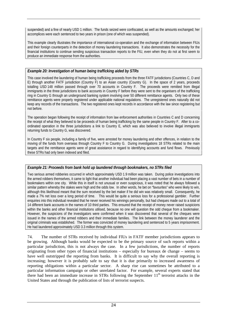suspended) and a fine of nearly USD 1 million. The funds seized were confiscated, as well as the amounts exchanged; her accomplices were each sentenced to two years in prison (one of which was suspended).

This example clearly illustrates the importance of international co-operation and the exchange of information between FIUs and their foreign counterparts in the detection of money laundering transactions. It also demonstrates the necessity for the financial institutions to continue sending suspicious transaction reports to the FIU, even when they do not at first seem to produce an immediate response from the authorities.

#### *Example 20: Investigation of human being trafficking aided by STRs*

This case involved the laundering of human being trafficking proceeds from the three FATF jurisdictions (Countries C, D and E) through another FATF jurisdiction (Country F) to an Asian country (Country G). In the space of 2 years, proceeds totalling USD 148 million passed through over 70 accounts in Country F. The proceeds were remitted from illegal immigrants in the three jurisdictions to bank accounts in Country F before they were sent to the organisers of the trafficking ring in Country G through an underground banking system involving over 50 different remittance agents. Only two of these remittance agents were properly registered under applicable national regulations. The unregistered ones naturally did not keep any records of the transactions. The two registered ones kept records in accordance with the law since registering but not before.

The operation began following the receipt of information from law enforcement authorities in Countries C and D concerning the receipt of what they believed to be proceeds of human being trafficking by the same people in Country F. After to a coordinated operation in the three jurisdictions a link to Country E, which was also believed to involve illegal immigrants returning funds to Country G, was discovered.

In Country F six people, including a family of five, were arrested for money laundering and other offences, in relation to the moving of the funds from overseas through Country F to Country G. During investigations 18 STRs related to the main targets and the remittance agents were of great assistance in regard to identifying accounts and fund flows. Previously these STRs had only been indexed and filed.

## *Example 21: Proceeds from bank hold up laundered through bookmakers, no STRs filed*

Two serious armed robberies occurred in which approximately USD 1.9 million was taken. During police investigations into the armed robbers themselves, it came to light that another individual had been placing a vast number of bets in a number of bookmakers within one city. While this in itself is not unusual or even suspicious, it was noted that he always followed a similar pattern whereby the stakes were high and the odds low. In other words, he bet on "favourites" who were likely to win, although this likelihood meant that the sum received by the bet maker if he did win was relatively small. Consequently, he made a 7% net loss over a long period of time. This would be quite a serious loss for a professional gambler. Further enquiries into this individual revealed that he never received his winnings personally, but had cheques made out to a total of 14 different bank accounts in the names of 10 third parties. This ensured that the receipt of money never raised suspicions within the banks and other financial institutions utilised, because no one will question the odd cheque from a bookmaker. However, the suspicions of the investigators were confirmed when it was discovered that several of the cheques were issued in the names of the armed robbers and their immediate families. The link between the money launderer and the original criminals was established. The former was convicted of money laundering and sentenced to 5 years imprisonment. He had laundered approximately USD 3.3 million through this system.

74. The number of STRs received by individual FIUs in FATF member jurisdictions appears to be growing. Although banks would be expected to be the primary source of such reports within a particular jurisdiction, this is not always the case. In a few jurisdictions, the number of reports originating from other types of financial institutions – especially for bureaux de change – seems to have well outstripped the reporting from banks. It is difficult to say why the overall reporting is increasing; however it is probably safe to say that it is due primarily to increased awareness of reporting obligations within a particular sector. A sharp rise can sometimes be attributed to a particular information campaign or other unrelated factor. For example, several experts stated that there had been an immediate increase in STRs following the September  $11<sup>th</sup>$  terrorist attacks in the United States and through the publication of lists of terrorist suspects.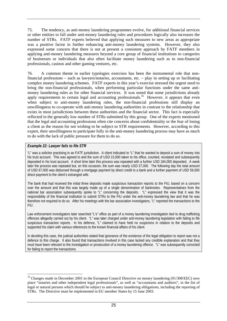75. The tendency, as anti-money laundering programmes evolve, for additional financial services or other entities to fall under anti-money laundering rules and procedures logically also increases the number of STRs. FATF experts believed that applying such measures to new areas as appropriate was a positive factor in further enhancing anti-money laundering systems. However, they also expressed some concern that there is not at present a consistent approach by FATF members in applying anti-money laundering measures beyond a core group of financial institutions to categories of businesses or individuals that also often facilitate money laundering such as to non-financial professionals, casinos and other gaming ventures, etc.

76. A common theme in earlier typologies exercises has been the instrumental role that nonfinancial professions – such as lawyers/notaries, accountants, etc. – play in setting up or facilitating complex money laundering schemes. FATF experts in this year's exercise stressed the urgent need to bring the non-financial professionals, when performing particular functions under the same antimoney laundering rules as for other financial services. It was noted that some jurisdictions already apply requirements to certain legal and accounting professionals.<sup>16</sup> However, it appears that even when subject to anti-money laundering rules, the non-financial professions still display an unwillingness to co-operate with anti-money laundering authorities in contrast to the relationship that exists in most jurisdictions between these authorities and the financial sector. This fact is especially reflected in the generally low number of STRs submitted by this group. One of the experts mentioned that the legal and accounting professions often cite concerns about confidentiality or the fear of losing a client as the reason for not wishing to be subject to STR requirements. However, according to this expert, their unwillingness to participate fully in the anti-money laundering process may have as much to do with the lack of public pressure for them to do so.

## *Example 22: Lawyer fails to file STR*

 $\overline{a}$ 

"L" was a solicitor practising in an FATF jurisdiction. A client indicated to "L" that he wanted to deposit a sum of money into his trust account. This was agreed to and the sum of USD 15,000 taken to his office, counted, receipted and subsequently deposited in his trust account. A short time later this process was repeated with a further USD 184,000 deposited. A week later the process was repeated but, on this occasion, the sum was nearly USD 37,000. The following day the total amount of USD 67,000 was disbursed through a mortgage payment by direct credit to a bank and a further payment of USD 59,000 direct payment to the client's estranged wife.

The bank that had received the initial three deposits made suspicious transaction reports to the FIU, based on a concern over the amount and that this was largely made up of a single denomination of banknotes. Representatives from the national bar association subsequently spoke to "L" concerning the deposits. "L" expressed the view that it was the responsibility of the financial institution to submit STRs to the FIU under the anti-money laundering law and that he was therefore not required to do so. After his meetings with the bar association investigators, "L" reported the transactions to the FIU.

Law enforcement investigators later searched "L's" office as part of a money laundering investigation tied to drug trafficking offences allegedly carried out by his client. "L" was later charged under anti-money laundering legislation with failing to file suspicious transaction reports. In his defence, "L" claimed to have held no suspicions in relation to the deposits and supported his claim with various references to the known financial affairs of his client.

In deciding this case, the judicial authorities stated that ignorance of the existence of the legal obligation to report was not a defence to this charge. It also found that transactions involved in this case lacked any credible explanation and that they must have been relevant to the investigation or prosecution of a money laundering offence. "L" was subsequently convicted for failing to report the transactions.

<sup>&</sup>lt;sup>16</sup> Changes made in December 2001 to the European Council Directive on money laundering (91/308/EEC) now place "notaries and other independent legal professionals", as well as "accountants and auditors", in the list of legal or natural persons which should be subject to anti-money laundering obligations, including the reporting of STRs. The Directive must be implemented in EU member States by 15 June 2003.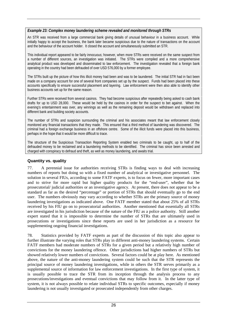#### *Example 23: Complex money laundering scheme revealed and monitored through STRs*

An STR was received from a large commercial bank giving details of unusual behaviour in a business account. While initially happy to accept the business, the bank later became suspicious due to the nature of transactions on the account and the behaviour of the account holder. It closed the account and simultaneously submitted an STR.

This individual report appeared to be fairly innocuous; however, when more STRs were received on the same suspect from a number of different sources, an investigation was initiated. The STRs were compiled and a more comprehensive analytical product was developed and disseminated to law enforcement. The investigation revealed that a foreign bank operating in the country had been defrauded of over USD 576,000 by a former employee.

The STRs built up the picture of how this illicit money had been and was to be laundered. The initial STR had in fact been made on a company account for one of several front companies set up by the suspect. Funds had been placed into these accounts specifically to ensure successful placement and layering. Law enforcement were then also able to identify other business accounts set up for the same reason.

Further STRs were received from several casinos. They had become suspicious after repeatedly being asked to cash bank drafts for up to USD 28,000. These would be held by the casinos in order for the suspect to bet against. When the evening's entertainment was over, any winnings as well as the remaining deposit would be withdrawn and replaced into different bank and building society accounts.

The number of STRs and suspicion surrounding the criminal and his associates meant that law enforcement closely monitored any financial transactions that they made. This ensured that a third method of laundering was discovered. The criminal had a foreign exchange business in an offshore centre. Some of the illicit funds were placed into this business, perhaps in the hope that it would be more difficult to trace.

The structure of the Suspicious Transaction Reporting System enabled two criminals to be caught, up to half of the defrauded money to be reclaimed and a laundering methods to be identified. The criminal has since been arrested and charged with conspiracy to defraud and theft, as well as money laundering, and awaits trial.

#### **Quantity vs. quality**

77. A perennial issue for authorities receiving STRs is finding ways to deal with increasing numbers of reports but doing so with a fixed number of analytical or investigative personnel. The solution in several FIUs, according to some FATF experts, is to focus on fewer, more important cases and to strive for more rapid but higher quality products for the "end-user", whether that be prosecutorial/ judicial authorities or an investigative agency. At present, there does not appear to be a standard as far as the desired "percentage" or portion of STRs that should eventually go to the end user. The numbers obviously may vary according to whether STRs are the primary source of money laundering investigations as indicated above. One FATF member stated that about 25% of all STRs received by his FIU go on to prosecutorial authorities. Another mentioned that essentially all STRs are investigated in his jurisdiction because of the nature of the FIU as a police authority. Still another expert stated that it is impossible to determine the number of STRs that are ultimately used in prosecutions or investigations since these reports are used in her jurisdiction as a resource for supplementing ongoing financial investigations.

78. Statistics provided by FATF experts as part of the discussion of this topic also appear to further illustrate the varying roles that STRs play in different anti-money laundering systems. Certain FATF members had moderate numbers of STRs for a given period but a relatively high number of convictions for the money laundering offence. Other jurisdictions had higher numbers of STRs but showed relatively lower numbers of convictions. Several factors could be at play here. As mentioned above, the nature of the anti-money laundering system could be such that the STR represents the principal source of money laundering investigations, while in others the STR serves primarily as a supplemental source of information for law enforcement investigations. In the first type of system, it is usually possible to trace the STR from its inception through the analysis process to any prosecutions/investigations and eventual convictions that may follow from it. In the latter type of system, it is not always possible to relate individual STRs to specific outcomes, especially if money laundering is not usually investigated or prosecuted independently from other charges.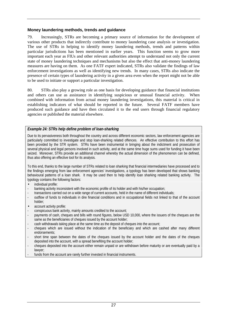## **Money laundering methods, trends and guidance**

79. Increasingly, STRs are becoming a primary source of information for the development of various other products that indirectly contribute to money laundering case analysis or investigation. The use of STRs in helping to identify money laundering methods, trends and patterns within particular jurisdictions has been mentioned in earlier years. This function seems to grow more important each year as FIUs and other relevant authorities attempt to understand not only the current state of money laundering techniques and mechanisms but also the effect that anti-money laundering measures are having on them. As one FATF expert indicated, STRs also validate the findings of law enforcement investigations as well as identifying new trends. In many cases, STRs also indicate the presence of certain types of laundering activity in a given area even when the report might not be able to be used to initiate or support a particular investigation.

80. STRs also play a growing role as one basis for developing guidance that financial institutions and others can use as assistance in identifying suspicious or unusual financial activity. When combined with information from actual money laundering investigations, this material is critical in establishing indicators of what should be reported in the future. Several FATF members have produced such guidance and have then circulated it to the end users through financial regulatory agencies or published the material elsewhere.

## *Example 24: STRs help define problem of loan-sharking*

Due to its pervasiveness both throughout the country and across different economic sectors, law enforcement agencies are particularly committed to investigate and stop loan-sharking related offences. An effective contribution to this effort has been provided by the STR system. STRs have been instrumental in bringing about the indictment and prosecution of several physical and legal persons involved in such activity, and at the same time huge sums used for funding it have been seized. Moreover, STRs provide an additional channel whereby the actual dimension of the phenomenon can be defined, thus also offering an effective tool for its analysis.

To this end, thanks to the large number of STRs related to loan sharking that financial intermediaries have processed and to the findings emerging from law enforcement agencies' investigations, a typology has been developed that shows banking behavioural patterns of a loan shark. It may be used then to help identify loan sharking related banking activity. The typology contains the following factors:

- individual profile:
- banking activity inconsistent with the economic profile of its holder and with his/her occupation;
- transactions carried out on a wide range of current accounts, held in the name of different individuals;
- outflow of funds to individuals in dire financial conditions and in occupational fields not linked to that of the account holder;
- account activity profile:
- conspicuous bank activity, mainly amounts credited to the account;
- payments of cash, cheques and bills with round figures, below USD 10,000, where the issuers of the cheques are the same as the beneficiaries of cheques issued by the account holder;
- cash withdrawals taking place at the same time as the deposit of cheques into the account;
- cheques which are issued without the indication of the beneficiary and which are cashed after many different endorsements;
- short time span between the dates of the cheques issued by the account holder and the dates of the cheques deposited into the account, with a spread benefiting the account holder;
- cheques deposited into the account either remain unpaid or are withdrawn before maturity or are eventually paid by a lawyer;
- funds from the account are rarely further invested in financial instruments.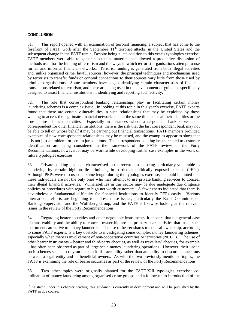## **CONCLUSION**

81. This report opened with an examination of terrorist financing, a subject that has come to the forefront of FATF work after the September 11<sup>th</sup> terrorist attacks in the United States and the subsequent change in the FATF remit. Despite being a late addition to this year's typologies exercise, FATF members were able to gather substantial material that allowed a productive discussion of methods used for the funding of terrorism and the ways in which terrorist organisations attempt to use formal and informal financial networks. Terrorist funding is generated from both illegal activities and, unlike organised crime, lawful sources; however, the principal techniques and mechanisms used by terrorists to transfer funds or conceal connections to their sources vary little from those used by criminal organisations. Some members have begun identifying certain characteristics of financial transactions related to terrorism, and these are being used in the development of guidance specifically designed to assist financial institutions in identifying and reporting such activity.<sup>1</sup>

82. The role that correspondent banking relationships play in facilitating certain money laundering schemes is a complex issue. In looking at this topic in this year's exercise, FATF experts found that there are certain vulnerabilities in such relationships that may be exploited by those wishing to access the legitimate financial networks and at the same time conceal their identities or the true nature of their activities. Especially in instances where a respondent bank serves as a correspondent for other financial institutions, there is the risk that the last correspondent bank may not be able to tell on whose behalf it may be carrying out financial transactions. FATF members provided examples of how correspondent relationships may be misused, and the examples appear to show that it is not just a problem for certain jurisdictions. The correspondent banking issues related to customer identification are being considered in the framework of the FATF review of the Forty Recommendations; however, it may be worthwhile developing further case examples in the work of future typologies exercises.

83. Private banking has been characterised in the recent past as being particularly vulnerable to laundering by certain high-profile criminals, in particular politically exposed persons (PEPs). Although PEPs were discussed at some length during the typologies exercise, it should be noted that these individuals are not the only ones who may attempt to use private banking services to conceal their illegal financial activities. Vulnerabilities in this sector may be due inadequate due diligence policies or procedures with regard to high net worth customers. A few experts indicated that there is nevertheless a fundamental difficulty for financial institutions to identify PEPs easily. Various international efforts are beginning to address these issues, particularly the Basel Committee on Banking Supervision and the Wolfsberg Group, and the FATF is likewise looking at the relevant issues in the review of the Forty Recommendations.

84. Regarding bearer securities and other negotiable instruments, it appears that the general ease of transferability and the ability to conceal ownership are the primary characteristics that make such instruments attractive to money launderers. The use of bearer shares to conceal ownership, according to some FATF experts, is a key obstacle to investigating some complex money laundering schemes, especially when there is involvement of non-cooperative countries or territories (NCCTs). The use of other bearer instruments – bearer and third-party cheques, as well as travellers' cheques, for example – has often been observed as part of large-scale money laundering operations. However, their use in such schemes seems to rely on their lack of traceability rather than an ability to obscure connections between a legal entity and its beneficial owners. As with the two previously mentioned topics, the FATF is examining the role of bearer securities as part of the review of the Forty Recommendations.

85. Two other topics were originally planned for the FATF-XIII typologies exercise: coordination of money laundering among organised crime groups and a follow-up to introduction of the

 $\overline{a}$  $17$  As stated under this chapter heading, this guidance is currently in development and will be published by the FATF in due course.